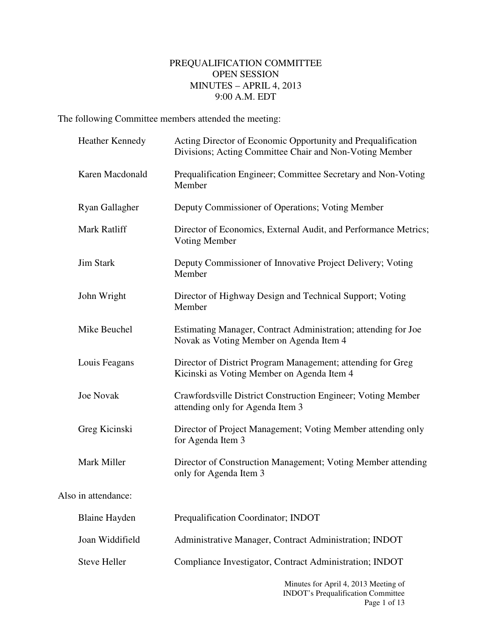# PREQUALIFICATION COMMITTEE OPEN SESSION MINUTES – APRIL 4, 2013 9:00 A.M. EDT

The following Committee members attended the meeting:

|                     | <b>Heather Kennedy</b> | Acting Director of Economic Opportunity and Prequalification<br>Divisions; Acting Committee Chair and Non-Voting Member |
|---------------------|------------------------|-------------------------------------------------------------------------------------------------------------------------|
|                     | Karen Macdonald        | Prequalification Engineer; Committee Secretary and Non-Voting<br>Member                                                 |
|                     | Ryan Gallagher         | Deputy Commissioner of Operations; Voting Member                                                                        |
|                     | Mark Ratliff           | Director of Economics, External Audit, and Performance Metrics;<br><b>Voting Member</b>                                 |
|                     | <b>Jim Stark</b>       | Deputy Commissioner of Innovative Project Delivery; Voting<br>Member                                                    |
|                     | John Wright            | Director of Highway Design and Technical Support; Voting<br>Member                                                      |
|                     | Mike Beuchel           | Estimating Manager, Contract Administration; attending for Joe<br>Novak as Voting Member on Agenda Item 4               |
|                     | Louis Feagans          | Director of District Program Management; attending for Greg<br>Kicinski as Voting Member on Agenda Item 4               |
|                     | <b>Joe Novak</b>       | Crawfordsville District Construction Engineer; Voting Member<br>attending only for Agenda Item 3                        |
|                     | Greg Kicinski          | Director of Project Management; Voting Member attending only<br>for Agenda Item 3                                       |
|                     | Mark Miller            | Director of Construction Management; Voting Member attending<br>only for Agenda Item 3                                  |
| Also in attendance: |                        |                                                                                                                         |
|                     | <b>Blaine Hayden</b>   | Prequalification Coordinator; INDOT                                                                                     |
|                     | Joan Widdifield        | Administrative Manager, Contract Administration; INDOT                                                                  |
|                     | <b>Steve Heller</b>    | Compliance Investigator, Contract Administration; INDOT                                                                 |
|                     |                        | Minutes for April 4, 2013 Meeting of                                                                                    |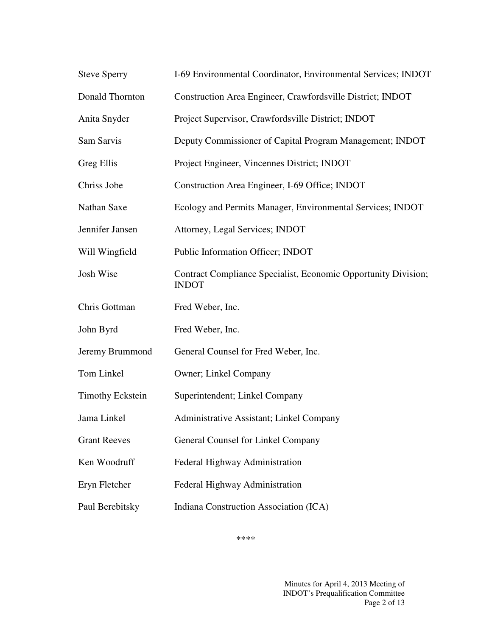| <b>Steve Sperry</b>     | I-69 Environmental Coordinator, Environmental Services; INDOT                  |
|-------------------------|--------------------------------------------------------------------------------|
| Donald Thornton         | Construction Area Engineer, Crawfordsville District; INDOT                     |
| Anita Snyder            | Project Supervisor, Crawfordsville District; INDOT                             |
| Sam Sarvis              | Deputy Commissioner of Capital Program Management; INDOT                       |
| Greg Ellis              | Project Engineer, Vincennes District; INDOT                                    |
| Chriss Jobe             | Construction Area Engineer, I-69 Office; INDOT                                 |
| Nathan Saxe             | Ecology and Permits Manager, Environmental Services; INDOT                     |
| Jennifer Jansen         | Attorney, Legal Services; INDOT                                                |
| Will Wingfield          | Public Information Officer; INDOT                                              |
| Josh Wise               | Contract Compliance Specialist, Economic Opportunity Division;<br><b>INDOT</b> |
| Chris Gottman           | Fred Weber, Inc.                                                               |
| John Byrd               | Fred Weber, Inc.                                                               |
| Jeremy Brummond         | General Counsel for Fred Weber, Inc.                                           |
| Tom Linkel              | Owner; Linkel Company                                                          |
| <b>Timothy Eckstein</b> | Superintendent; Linkel Company                                                 |
| Jama Linkel             | Administrative Assistant; Linkel Company                                       |
| <b>Grant Reeves</b>     | General Counsel for Linkel Company                                             |
| Ken Woodruff            | Federal Highway Administration                                                 |
| Eryn Fletcher           | Federal Highway Administration                                                 |
| Paul Berebitsky         | Indiana Construction Association (ICA)                                         |

\*\*\*\*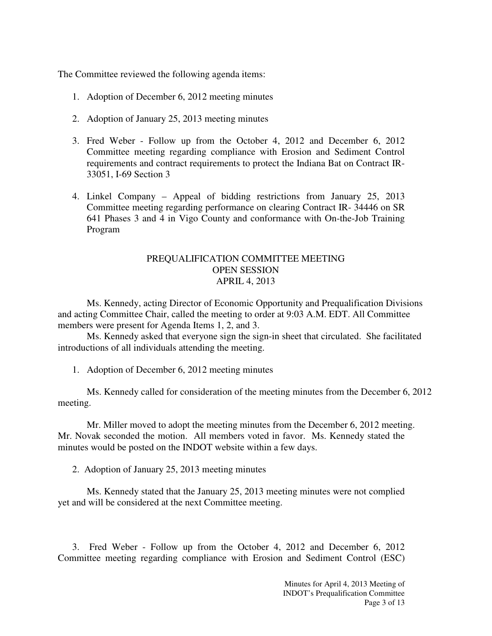The Committee reviewed the following agenda items:

- 1. Adoption of December 6, 2012 meeting minutes
- 2. Adoption of January 25, 2013 meeting minutes
- 3. Fred Weber Follow up from the October 4, 2012 and December 6, 2012 Committee meeting regarding compliance with Erosion and Sediment Control requirements and contract requirements to protect the Indiana Bat on Contract IR-33051, I-69 Section 3
- 4. Linkel Company Appeal of bidding restrictions from January 25, 2013 Committee meeting regarding performance on clearing Contract IR- 34446 on SR 641 Phases 3 and 4 in Vigo County and conformance with On-the-Job Training Program

### PREQUALIFICATION COMMITTEE MEETING OPEN SESSION APRIL 4, 2013

 Ms. Kennedy, acting Director of Economic Opportunity and Prequalification Divisions and acting Committee Chair, called the meeting to order at 9:03 A.M. EDT. All Committee members were present for Agenda Items 1, 2, and 3.

Ms. Kennedy asked that everyone sign the sign-in sheet that circulated. She facilitated introductions of all individuals attending the meeting.

1. Adoption of December 6, 2012 meeting minutes

Ms. Kennedy called for consideration of the meeting minutes from the December 6, 2012 meeting.

Mr. Miller moved to adopt the meeting minutes from the December 6, 2012 meeting. Mr. Novak seconded the motion. All members voted in favor. Ms. Kennedy stated the minutes would be posted on the INDOT website within a few days.

2. Adoption of January 25, 2013 meeting minutes

Ms. Kennedy stated that the January 25, 2013 meeting minutes were not complied yet and will be considered at the next Committee meeting.

 3. Fred Weber - Follow up from the October 4, 2012 and December 6, 2012 Committee meeting regarding compliance with Erosion and Sediment Control (ESC)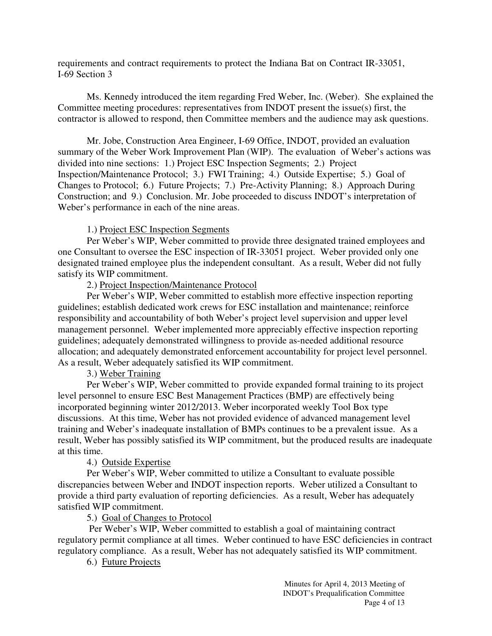requirements and contract requirements to protect the Indiana Bat on Contract IR-33051, I-69 Section 3

Ms. Kennedy introduced the item regarding Fred Weber, Inc. (Weber). She explained the Committee meeting procedures: representatives from INDOT present the issue(s) first, the contractor is allowed to respond, then Committee members and the audience may ask questions.

Mr. Jobe, Construction Area Engineer, I-69 Office, INDOT, provided an evaluation summary of the Weber Work Improvement Plan (WIP). The evaluation of Weber's actions was divided into nine sections: 1.) Project ESC Inspection Segments; 2.) Project Inspection/Maintenance Protocol; 3.) FWI Training; 4.) Outside Expertise; 5.) Goal of Changes to Protocol; 6.) Future Projects; 7.) Pre-Activity Planning; 8.) Approach During Construction; and 9.) Conclusion. Mr. Jobe proceeded to discuss INDOT's interpretation of Weber's performance in each of the nine areas.

### 1.) Project ESC Inspection Segments

Per Weber's WIP, Weber committed to provide three designated trained employees and one Consultant to oversee the ESC inspection of IR-33051 project. Weber provided only one designated trained employee plus the independent consultant. As a result, Weber did not fully satisfy its WIP commitment.

2.) Project Inspection/Maintenance Protocol

Per Weber's WIP, Weber committed to establish more effective inspection reporting guidelines; establish dedicated work crews for ESC installation and maintenance; reinforce responsibility and accountability of both Weber's project level supervision and upper level management personnel. Weber implemented more appreciably effective inspection reporting guidelines; adequately demonstrated willingness to provide as-needed additional resource allocation; and adequately demonstrated enforcement accountability for project level personnel. As a result, Weber adequately satisfied its WIP commitment.

3.) Weber Training

Per Weber's WIP, Weber committed to provide expanded formal training to its project level personnel to ensure ESC Best Management Practices (BMP) are effectively being incorporated beginning winter 2012/2013. Weber incorporated weekly Tool Box type discussions. At this time, Weber has not provided evidence of advanced management level training and Weber's inadequate installation of BMPs continues to be a prevalent issue. As a result, Weber has possibly satisfied its WIP commitment, but the produced results are inadequate at this time.

#### 4.) Outside Expertise

Per Weber's WIP, Weber committed to utilize a Consultant to evaluate possible discrepancies between Weber and INDOT inspection reports. Weber utilized a Consultant to provide a third party evaluation of reporting deficiencies. As a result, Weber has adequately satisfied WIP commitment.

5.) Goal of Changes to Protocol

 Per Weber's WIP, Weber committed to establish a goal of maintaining contract regulatory permit compliance at all times. Weber continued to have ESC deficiencies in contract regulatory compliance. As a result, Weber has not adequately satisfied its WIP commitment.

6.) Future Projects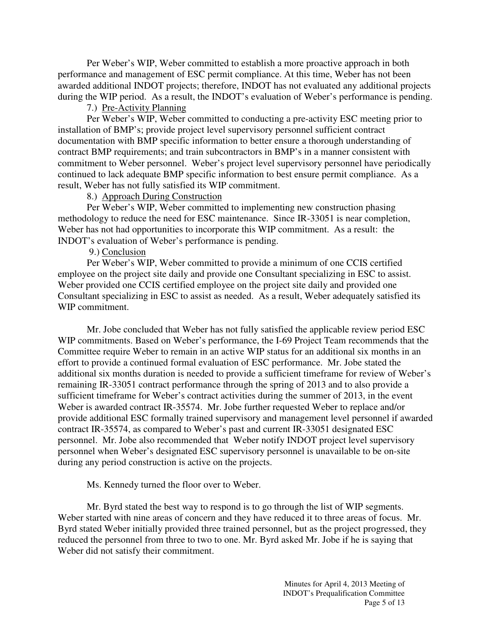Per Weber's WIP, Weber committed to establish a more proactive approach in both performance and management of ESC permit compliance. At this time, Weber has not been awarded additional INDOT projects; therefore, INDOT has not evaluated any additional projects during the WIP period. As a result, the INDOT's evaluation of Weber's performance is pending.

#### 7.) Pre-Activity Planning

Per Weber's WIP, Weber committed to conducting a pre-activity ESC meeting prior to installation of BMP's; provide project level supervisory personnel sufficient contract documentation with BMP specific information to better ensure a thorough understanding of contract BMP requirements; and train subcontractors in BMP's in a manner consistent with commitment to Weber personnel. Weber's project level supervisory personnel have periodically continued to lack adequate BMP specific information to best ensure permit compliance. As a result, Weber has not fully satisfied its WIP commitment.

### 8.) Approach During Construction

Per Weber's WIP, Weber committed to implementing new construction phasing methodology to reduce the need for ESC maintenance. Since IR-33051 is near completion, Weber has not had opportunities to incorporate this WIP commitment. As a result: the INDOT's evaluation of Weber's performance is pending.

### 9.) Conclusion

Per Weber's WIP, Weber committed to provide a minimum of one CCIS certified employee on the project site daily and provide one Consultant specializing in ESC to assist. Weber provided one CCIS certified employee on the project site daily and provided one Consultant specializing in ESC to assist as needed. As a result, Weber adequately satisfied its WIP commitment.

Mr. Jobe concluded that Weber has not fully satisfied the applicable review period ESC WIP commitments. Based on Weber's performance, the I-69 Project Team recommends that the Committee require Weber to remain in an active WIP status for an additional six months in an effort to provide a continued formal evaluation of ESC performance. Mr. Jobe stated the additional six months duration is needed to provide a sufficient timeframe for review of Weber's remaining IR-33051 contract performance through the spring of 2013 and to also provide a sufficient timeframe for Weber's contract activities during the summer of 2013, in the event Weber is awarded contract IR-35574. Mr. Jobe further requested Weber to replace and/or provide additional ESC formally trained supervisory and management level personnel if awarded contract IR-35574, as compared to Weber's past and current IR-33051 designated ESC personnel. Mr. Jobe also recommended that Weber notify INDOT project level supervisory personnel when Weber's designated ESC supervisory personnel is unavailable to be on-site during any period construction is active on the projects.

## Ms. Kennedy turned the floor over to Weber.

Mr. Byrd stated the best way to respond is to go through the list of WIP segments. Weber started with nine areas of concern and they have reduced it to three areas of focus. Mr. Byrd stated Weber initially provided three trained personnel, but as the project progressed, they reduced the personnel from three to two to one. Mr. Byrd asked Mr. Jobe if he is saying that Weber did not satisfy their commitment.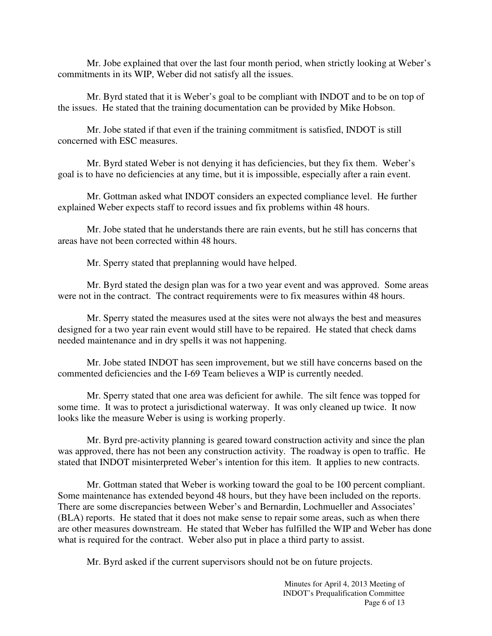Mr. Jobe explained that over the last four month period, when strictly looking at Weber's commitments in its WIP, Weber did not satisfy all the issues.

Mr. Byrd stated that it is Weber's goal to be compliant with INDOT and to be on top of the issues. He stated that the training documentation can be provided by Mike Hobson.

Mr. Jobe stated if that even if the training commitment is satisfied, INDOT is still concerned with ESC measures.

Mr. Byrd stated Weber is not denying it has deficiencies, but they fix them. Weber's goal is to have no deficiencies at any time, but it is impossible, especially after a rain event.

Mr. Gottman asked what INDOT considers an expected compliance level. He further explained Weber expects staff to record issues and fix problems within 48 hours.

Mr. Jobe stated that he understands there are rain events, but he still has concerns that areas have not been corrected within 48 hours.

Mr. Sperry stated that preplanning would have helped.

Mr. Byrd stated the design plan was for a two year event and was approved. Some areas were not in the contract. The contract requirements were to fix measures within 48 hours.

Mr. Sperry stated the measures used at the sites were not always the best and measures designed for a two year rain event would still have to be repaired. He stated that check dams needed maintenance and in dry spells it was not happening.

Mr. Jobe stated INDOT has seen improvement, but we still have concerns based on the commented deficiencies and the I-69 Team believes a WIP is currently needed.

Mr. Sperry stated that one area was deficient for awhile. The silt fence was topped for some time. It was to protect a jurisdictional waterway. It was only cleaned up twice. It now looks like the measure Weber is using is working properly.

Mr. Byrd pre-activity planning is geared toward construction activity and since the plan was approved, there has not been any construction activity. The roadway is open to traffic. He stated that INDOT misinterpreted Weber's intention for this item. It applies to new contracts.

Mr. Gottman stated that Weber is working toward the goal to be 100 percent compliant. Some maintenance has extended beyond 48 hours, but they have been included on the reports. There are some discrepancies between Weber's and Bernardin, Lochmueller and Associates' (BLA) reports. He stated that it does not make sense to repair some areas, such as when there are other measures downstream. He stated that Weber has fulfilled the WIP and Weber has done what is required for the contract. Weber also put in place a third party to assist.

Mr. Byrd asked if the current supervisors should not be on future projects.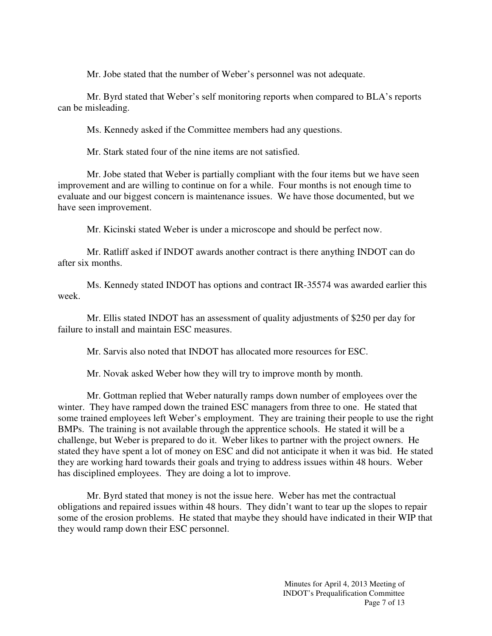Mr. Jobe stated that the number of Weber's personnel was not adequate.

Mr. Byrd stated that Weber's self monitoring reports when compared to BLA's reports can be misleading.

Ms. Kennedy asked if the Committee members had any questions.

Mr. Stark stated four of the nine items are not satisfied.

Mr. Jobe stated that Weber is partially compliant with the four items but we have seen improvement and are willing to continue on for a while. Four months is not enough time to evaluate and our biggest concern is maintenance issues. We have those documented, but we have seen improvement.

Mr. Kicinski stated Weber is under a microscope and should be perfect now.

Mr. Ratliff asked if INDOT awards another contract is there anything INDOT can do after six months.

Ms. Kennedy stated INDOT has options and contract IR-35574 was awarded earlier this week.

Mr. Ellis stated INDOT has an assessment of quality adjustments of \$250 per day for failure to install and maintain ESC measures.

Mr. Sarvis also noted that INDOT has allocated more resources for ESC.

Mr. Novak asked Weber how they will try to improve month by month.

Mr. Gottman replied that Weber naturally ramps down number of employees over the winter. They have ramped down the trained ESC managers from three to one. He stated that some trained employees left Weber's employment. They are training their people to use the right BMPs. The training is not available through the apprentice schools. He stated it will be a challenge, but Weber is prepared to do it. Weber likes to partner with the project owners. He stated they have spent a lot of money on ESC and did not anticipate it when it was bid. He stated they are working hard towards their goals and trying to address issues within 48 hours. Weber has disciplined employees. They are doing a lot to improve.

Mr. Byrd stated that money is not the issue here. Weber has met the contractual obligations and repaired issues within 48 hours. They didn't want to tear up the slopes to repair some of the erosion problems. He stated that maybe they should have indicated in their WIP that they would ramp down their ESC personnel.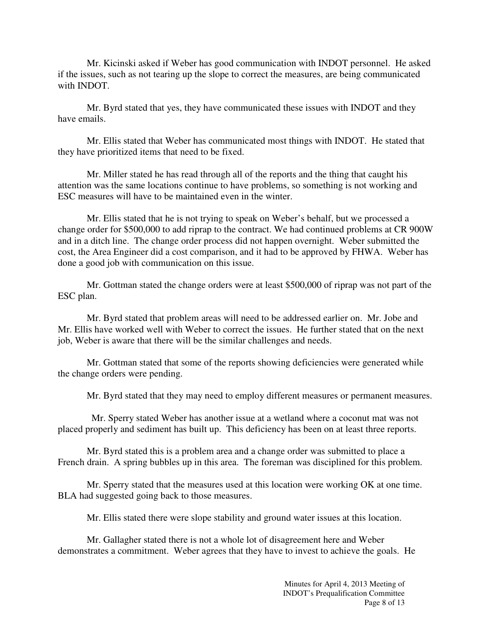Mr. Kicinski asked if Weber has good communication with INDOT personnel. He asked if the issues, such as not tearing up the slope to correct the measures, are being communicated with INDOT.

Mr. Byrd stated that yes, they have communicated these issues with INDOT and they have emails.

Mr. Ellis stated that Weber has communicated most things with INDOT. He stated that they have prioritized items that need to be fixed.

Mr. Miller stated he has read through all of the reports and the thing that caught his attention was the same locations continue to have problems, so something is not working and ESC measures will have to be maintained even in the winter.

Mr. Ellis stated that he is not trying to speak on Weber's behalf, but we processed a change order for \$500,000 to add riprap to the contract. We had continued problems at CR 900W and in a ditch line. The change order process did not happen overnight. Weber submitted the cost, the Area Engineer did a cost comparison, and it had to be approved by FHWA. Weber has done a good job with communication on this issue.

Mr. Gottman stated the change orders were at least \$500,000 of riprap was not part of the ESC plan.

Mr. Byrd stated that problem areas will need to be addressed earlier on. Mr. Jobe and Mr. Ellis have worked well with Weber to correct the issues. He further stated that on the next job, Weber is aware that there will be the similar challenges and needs.

Mr. Gottman stated that some of the reports showing deficiencies were generated while the change orders were pending.

Mr. Byrd stated that they may need to employ different measures or permanent measures.

 Mr. Sperry stated Weber has another issue at a wetland where a coconut mat was not placed properly and sediment has built up. This deficiency has been on at least three reports.

Mr. Byrd stated this is a problem area and a change order was submitted to place a French drain. A spring bubbles up in this area. The foreman was disciplined for this problem.

Mr. Sperry stated that the measures used at this location were working OK at one time. BLA had suggested going back to those measures.

Mr. Ellis stated there were slope stability and ground water issues at this location.

Mr. Gallagher stated there is not a whole lot of disagreement here and Weber demonstrates a commitment. Weber agrees that they have to invest to achieve the goals. He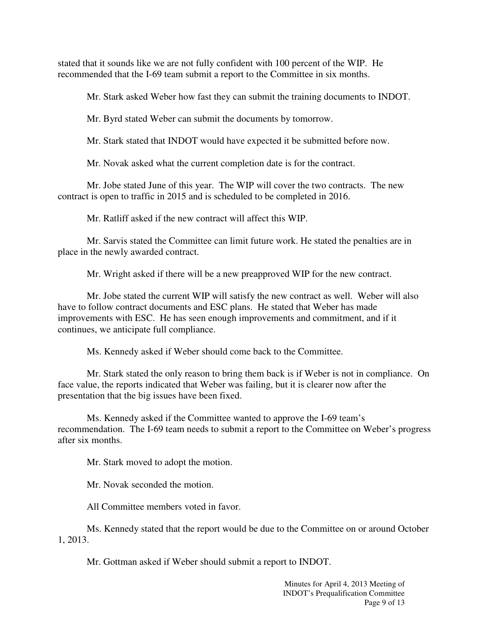stated that it sounds like we are not fully confident with 100 percent of the WIP. He recommended that the I-69 team submit a report to the Committee in six months.

Mr. Stark asked Weber how fast they can submit the training documents to INDOT.

Mr. Byrd stated Weber can submit the documents by tomorrow.

Mr. Stark stated that INDOT would have expected it be submitted before now.

Mr. Novak asked what the current completion date is for the contract.

Mr. Jobe stated June of this year. The WIP will cover the two contracts. The new contract is open to traffic in 2015 and is scheduled to be completed in 2016.

Mr. Ratliff asked if the new contract will affect this WIP.

Mr. Sarvis stated the Committee can limit future work. He stated the penalties are in place in the newly awarded contract.

Mr. Wright asked if there will be a new preapproved WIP for the new contract.

Mr. Jobe stated the current WIP will satisfy the new contract as well. Weber will also have to follow contract documents and ESC plans. He stated that Weber has made improvements with ESC. He has seen enough improvements and commitment, and if it continues, we anticipate full compliance.

Ms. Kennedy asked if Weber should come back to the Committee.

Mr. Stark stated the only reason to bring them back is if Weber is not in compliance. On face value, the reports indicated that Weber was failing, but it is clearer now after the presentation that the big issues have been fixed.

Ms. Kennedy asked if the Committee wanted to approve the I-69 team's recommendation. The I-69 team needs to submit a report to the Committee on Weber's progress after six months.

Mr. Stark moved to adopt the motion.

Mr. Novak seconded the motion.

All Committee members voted in favor.

Ms. Kennedy stated that the report would be due to the Committee on or around October 1, 2013.

Mr. Gottman asked if Weber should submit a report to INDOT.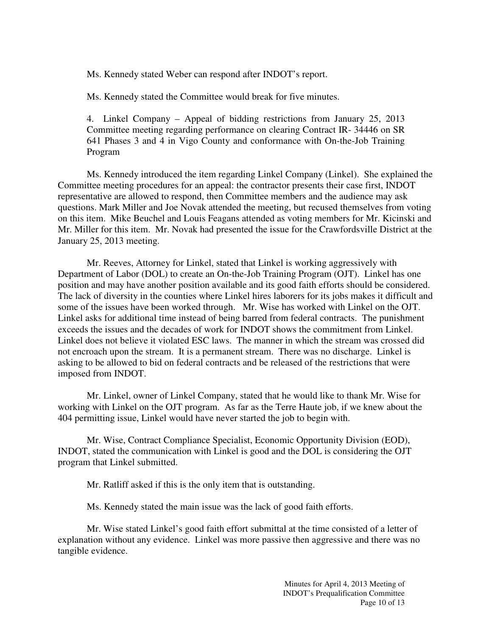Ms. Kennedy stated Weber can respond after INDOT's report.

Ms. Kennedy stated the Committee would break for five minutes.

4. Linkel Company – Appeal of bidding restrictions from January 25, 2013 Committee meeting regarding performance on clearing Contract IR- 34446 on SR 641 Phases 3 and 4 in Vigo County and conformance with On-the-Job Training Program

Ms. Kennedy introduced the item regarding Linkel Company (Linkel). She explained the Committee meeting procedures for an appeal: the contractor presents their case first, INDOT representative are allowed to respond, then Committee members and the audience may ask questions. Mark Miller and Joe Novak attended the meeting, but recused themselves from voting on this item. Mike Beuchel and Louis Feagans attended as voting members for Mr. Kicinski and Mr. Miller for this item. Mr. Novak had presented the issue for the Crawfordsville District at the January 25, 2013 meeting.

Mr. Reeves, Attorney for Linkel, stated that Linkel is working aggressively with Department of Labor (DOL) to create an On-the-Job Training Program (OJT). Linkel has one position and may have another position available and its good faith efforts should be considered. The lack of diversity in the counties where Linkel hires laborers for its jobs makes it difficult and some of the issues have been worked through. Mr. Wise has worked with Linkel on the OJT. Linkel asks for additional time instead of being barred from federal contracts. The punishment exceeds the issues and the decades of work for INDOT shows the commitment from Linkel. Linkel does not believe it violated ESC laws. The manner in which the stream was crossed did not encroach upon the stream. It is a permanent stream. There was no discharge. Linkel is asking to be allowed to bid on federal contracts and be released of the restrictions that were imposed from INDOT.

Mr. Linkel, owner of Linkel Company, stated that he would like to thank Mr. Wise for working with Linkel on the OJT program. As far as the Terre Haute job, if we knew about the 404 permitting issue, Linkel would have never started the job to begin with.

Mr. Wise, Contract Compliance Specialist, Economic Opportunity Division (EOD), INDOT, stated the communication with Linkel is good and the DOL is considering the OJT program that Linkel submitted.

Mr. Ratliff asked if this is the only item that is outstanding.

Ms. Kennedy stated the main issue was the lack of good faith efforts.

Mr. Wise stated Linkel's good faith effort submittal at the time consisted of a letter of explanation without any evidence. Linkel was more passive then aggressive and there was no tangible evidence.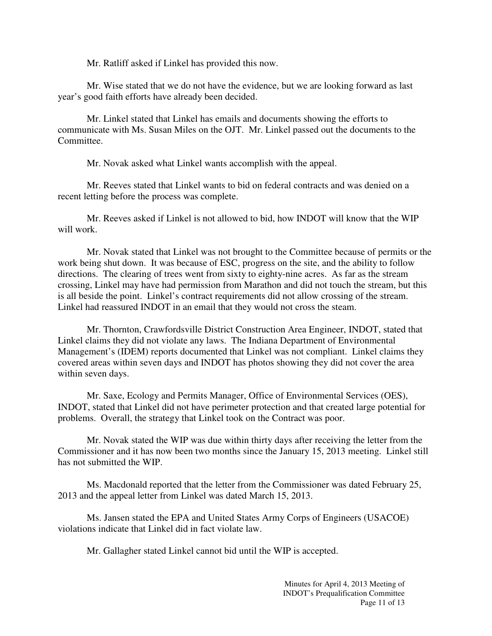Mr. Ratliff asked if Linkel has provided this now.

Mr. Wise stated that we do not have the evidence, but we are looking forward as last year's good faith efforts have already been decided.

Mr. Linkel stated that Linkel has emails and documents showing the efforts to communicate with Ms. Susan Miles on the OJT. Mr. Linkel passed out the documents to the Committee.

Mr. Novak asked what Linkel wants accomplish with the appeal.

Mr. Reeves stated that Linkel wants to bid on federal contracts and was denied on a recent letting before the process was complete.

Mr. Reeves asked if Linkel is not allowed to bid, how INDOT will know that the WIP will work.

Mr. Novak stated that Linkel was not brought to the Committee because of permits or the work being shut down. It was because of ESC, progress on the site, and the ability to follow directions. The clearing of trees went from sixty to eighty-nine acres. As far as the stream crossing, Linkel may have had permission from Marathon and did not touch the stream, but this is all beside the point. Linkel's contract requirements did not allow crossing of the stream. Linkel had reassured INDOT in an email that they would not cross the steam.

Mr. Thornton, Crawfordsville District Construction Area Engineer, INDOT, stated that Linkel claims they did not violate any laws. The Indiana Department of Environmental Management's (IDEM) reports documented that Linkel was not compliant. Linkel claims they covered areas within seven days and INDOT has photos showing they did not cover the area within seven days.

Mr. Saxe, Ecology and Permits Manager, Office of Environmental Services (OES), INDOT, stated that Linkel did not have perimeter protection and that created large potential for problems. Overall, the strategy that Linkel took on the Contract was poor.

Mr. Novak stated the WIP was due within thirty days after receiving the letter from the Commissioner and it has now been two months since the January 15, 2013 meeting. Linkel still has not submitted the WIP.

Ms. Macdonald reported that the letter from the Commissioner was dated February 25, 2013 and the appeal letter from Linkel was dated March 15, 2013.

Ms. Jansen stated the EPA and United States Army Corps of Engineers (USACOE) violations indicate that Linkel did in fact violate law.

Mr. Gallagher stated Linkel cannot bid until the WIP is accepted.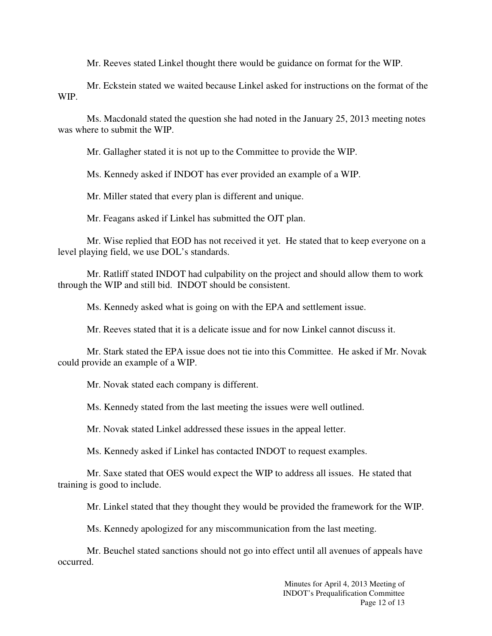Mr. Reeves stated Linkel thought there would be guidance on format for the WIP.

Mr. Eckstein stated we waited because Linkel asked for instructions on the format of the WIP.

Ms. Macdonald stated the question she had noted in the January 25, 2013 meeting notes was where to submit the WIP.

Mr. Gallagher stated it is not up to the Committee to provide the WIP.

Ms. Kennedy asked if INDOT has ever provided an example of a WIP.

Mr. Miller stated that every plan is different and unique.

Mr. Feagans asked if Linkel has submitted the OJT plan.

Mr. Wise replied that EOD has not received it yet. He stated that to keep everyone on a level playing field, we use DOL's standards.

Mr. Ratliff stated INDOT had culpability on the project and should allow them to work through the WIP and still bid. INDOT should be consistent.

Ms. Kennedy asked what is going on with the EPA and settlement issue.

Mr. Reeves stated that it is a delicate issue and for now Linkel cannot discuss it.

Mr. Stark stated the EPA issue does not tie into this Committee. He asked if Mr. Novak could provide an example of a WIP.

Mr. Novak stated each company is different.

Ms. Kennedy stated from the last meeting the issues were well outlined.

Mr. Novak stated Linkel addressed these issues in the appeal letter.

Ms. Kennedy asked if Linkel has contacted INDOT to request examples.

Mr. Saxe stated that OES would expect the WIP to address all issues. He stated that training is good to include.

Mr. Linkel stated that they thought they would be provided the framework for the WIP.

Ms. Kennedy apologized for any miscommunication from the last meeting.

Mr. Beuchel stated sanctions should not go into effect until all avenues of appeals have occurred.